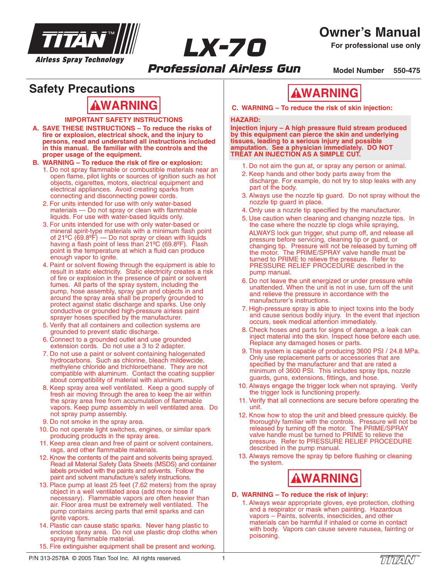

**Owner's Manual**

**For professional use only**

*Professional Airless Gun* **Model Number 550-475**

### **Safety Precautions**

#### **IMPORTANT SAFETY INSTRUCTIONS**

**A. SAVE THESE INSTRUCTIONS – To reduce the risks of fire or explosion, electrical shock, and the injury to persons, read and understand all instructions included in this manual. Be familiar with the controls and the proper usage of the equipment.**

#### **B. WARNING – To reduce the risk of fire or explosion:**

- 1. Do not spray flammable or combustible materials near an open flame, pilot lights or sources of ignition such as hot objects, cigarettes, motors, electrical equipment and electrical appliances. Avoid creating sparks from connecting and disconnecting power cords.
- 2. For units intended for use with only water-based materials — Do not spray or clean with flammable liquids. For use with water-based liquids only.
- 3. For units intended for use with only water-based or mineral spirit-type materials with a minimum flash point of 21ºC (69.8ºF) — Do not spray or clean with liquids having a flash point of less than 21ºC (69.8ºF). Flash point is the temperature at which a fluid can produce enough vapor to ignite.
- 4. Paint or solvent flowing through the equipment is able to result in static electricity. Static electricity creates a risk of fire or explosion in the presence of paint or solvent fumes. All parts of the spray system, including the pump, hose assembly, spray gun and objects in and around the spray area shall be properly grounded to protect against static discharge and sparks. Use only conductive or grounded high-pressure airless paint sprayer hoses specified by the manufacturer.
- 5. Verify that all containers and collection systems are grounded to prevent static discharge.
- 6. Connect to a grounded outlet and use grounded extension cords. Do not use a 3 to 2 adapter.
- 7. Do not use a paint or solvent containing halogenated hydrocarbons. Such as chlorine, bleach mildewcide, methylene chloride and trichloroethane. They are not compatible with aluminum. Contact the coating supplier about compatibility of material with aluminum.
- 8. Keep spray area well ventilated. Keep a good supply of fresh air moving through the area to keep the air within the spray area free from accumulation of flammable vapors. Keep pump assembly in well ventilated area. Do not spray pump assembly.
- 9. Do not smoke in the spray area.
- 10. Do not operate light switches, engines, or similar spark producing products in the spray area.
- 11. Keep area clean and free of paint or solvent containers, rags, and other flammable materials.
- 12. Know the contents of the paint and solvents being sprayed. Read all Material Safety Data Sheets (MSDS) and container labels provided with the paints and solvents. Follow the paint and solvent manufacture's safety instructions.
- 13. Place pump at least 25 feet (7.62 meters) from the spray object in a well ventilated area (add more hose if necessary). Flammable vapors are often heavier than air. Floor area must be extremely well ventilated. The pump contains arcing parts that emit sparks and can ignite vapors.
- 14. Plastic can cause static sparks. Never hang plastic to enclose spray area. Do not use plastic drop cloths when spraying flammable material.
- 15. Fire extinguisher equipment shall be present and working.

# **WARNING**

**AWARNING C.** WARNING – To reduce the risk of skin injection:

#### **HAZARD:**

*LX-70*

**Injection injury – A high pressure fluid stream produced by this equipment can pierce the skin and underlying tissues, leading to a serious injury and possible amputation. See a physician immediately. DO NOT TREAT AN INJECTION AS A SIMPLE CUT.**

- 1. Do not aim the gun at, or spray any person or animal.
- 2. Keep hands and other body parts away from the discharge. For example, do not try to stop leaks with any part of the body.
- 3. Always use the nozzle tip guard. Do not spray without the nozzle tip guard in place.
- 4. Only use a nozzle tip specified by the manufacturer.
- 5. Use caution when cleaning and changing nozzle tips. In the case where the nozzle tip clogs while spraying, ALWAYS lock gun trigger, shut pump off, and release all pressure before servicing, cleaning tip or guard, or changing tip. Pressure will not be released by turning off the motor. The PRIME/SPRAY valve handle must be turned to PRIME to relieve the pressure. Refer to PRESSURE RELIEF PROCEDURE described in the pump manual.
- 6. Do not leave the unit energized or under pressure while unattended. When the unit is not in use, turn off the unit and relieve the pressure in accordance with the manufacturer's instructions.
- 7. High-pressure spray is able to inject toxins into the body and cause serious bodily injury. In the event that injection occurs, seek medical attention immediately.
- 8. Check hoses and parts for signs of damage, a leak can inject material into the skin. Inspect hose before each use. Replace any damaged hoses or parts.
- 9. This system is capable of producing 3600 PSI / 24.8 MPa. Only use replacement parts or accessories that are specified by the manufacturer and that are rated a minimum of 3600 PSI. This includes spray tips, nozzle guards, guns, extensions, fittings, and hose.
- 10. Always engage the trigger lock when not spraying. Verify the trigger lock is functioning properly.
- 11. Verify that all connections are secure before operating the unit.
- 12. Know how to stop the unit and bleed pressure quickly. Be thoroughly familiar with the controls. Pressure will not be released by turning off the motor. The PRIME/SPRAY valve handle must be turned to PRIME to relieve the pressure. Refer to PRESSURE RELIEF PROCEDURE described in the pump manual.
- 13. Always remove the spray tip before flushing or cleaning the system.



### **D. WARNING – To reduce the risk of injury:**

1. Always wear appropriate gloves, eye protection, clothing and a respirator or mask when painting. Hazardous vapors – Paints, solvents, insecticides, and other materials can be harmful if inhaled or come in contact with body. Vapors can cause severe nausea, fainting or poisoning.

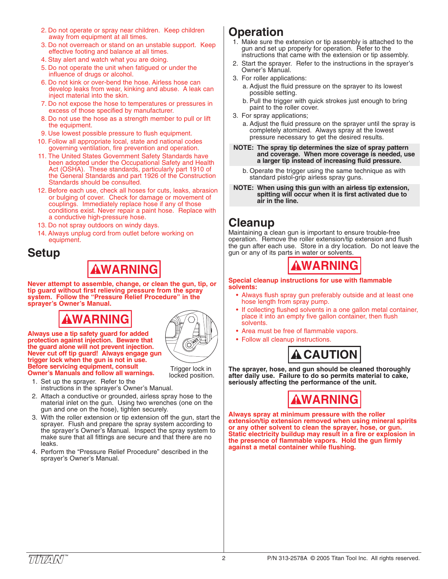- 2. Do not operate or spray near children. Keep children away from equipment at all times.
- 3. Do not overreach or stand on an unstable support. Keep effective footing and balance at all times.
- 4. Stay alert and watch what you are doing.
- 5. Do not operate the unit when fatigued or under the influence of drugs or alcohol.
- 6. Do not kink or over-bend the hose. Airless hose can develop leaks from wear, kinking and abuse. A leak can inject material into the skin.
- 7. Do not expose the hose to temperatures or pressures in excess of those specified by manufacturer.
- 8. Do not use the hose as a strength member to pull or lift the equipment.
- 9. Use lowest possible pressure to flush equipment.
- 10. Follow all appropriate local, state and national codes governing ventilation, fire prevention and operation.
- 11. The United States Government Safety Standards have been adopted under the Occupational Safety and Health Act (OSHA). These standards, particularly part 1910 of the General Standards and part 1926 of the Construction Standards should be consulted.
- 12. Before each use, check all hoses for cuts, leaks, abrasion or bulging of cover. Check for damage or movement of couplings. Immediately replace hose if any of those conditions exist. Never repair a paint hose. Replace with a conductive high-pressure hose.
- 13. Do not spray outdoors on windy days.
- 14. Always unplug cord from outlet before working on equipment.

### **Setup**

# **WARNING**

**Never attempt to assemble, change, or clean the gun, tip, or tip guard without first relieving pressure from the spray system. Follow the "Pressure Relief Procedure" in the sprayer's Owner's Manual.**

# **WARNING**



Trigger lock in locked position.

**Always use a tip safety guard for added protection against injection. Beware that the guard alone will not prevent injection. Never cut off tip guard! Always engage gun trigger lock when the gun is not in use. Before servicing equipment, consult Owner's Manuals and follow all warnings.**

- 1. Set up the sprayer. Refer to the instructions in the sprayer's Owner's Manual.
- 2. Attach a conductive or grounded, airless spray hose to the material inlet on the gun. Using two wrenches (one on the gun and one on the hose), tighten securely.
- 3. With the roller extension or tip extension off the gun, start the sprayer. Flush and prepare the spray system according to the sprayer's Owner's Manual. Inspect the spray system to make sure that all fittings are secure and that there are no leaks.
- 4. Perform the "Pressure Relief Procedure" described in the sprayer's Owner's Manual.

## **Operation**

- 1. Make sure the extension or tip assembly is attached to the gun and set up properly for operation. Refer to the instructions that came with the extension or tip assembly.
- 2. Start the sprayer. Refer to the instructions in the sprayer's Owner's Manual.
- 3. For roller applications:
	- a. Adjust the fluid pressure on the sprayer to its lowest possible setting.
	- b. Pull the trigger with quick strokes just enough to bring paint to the roller cover.
- 3. For spray applications;
	- a. Adjust the fluid pressure on the sprayer until the spray is completely atomized. Always spray at the lowest pressure necessary to get the desired results.
- **NOTE: The spray tip determines the size of spray pattern and coverage. When more coverage is needed, use a larger tip instead of increasing fluid pressure.**
	- b. Operate the trigger using the same technique as with standard pistol-grip airless spray guns.
- **NOTE: When using this gun with an airless tip extension, spitting will occur when it is first activated due to air in the line.**

### **Cleanup**

Maintaining a clean gun is important to ensure trouble-free operation. Remove the roller extension/tip extension and flush the gun after each use. Store in a dry location. Do not leave the gun or any of its parts in water or solvents.



#### **Special cleanup instructions for use with flammable solvents:**

- Always flush spray gun preferably outside and at least one hose length from spray pump.
- If collecting flushed solvents in a one gallon metal container, place it into an empty five gallon container, then flush solvents.
- Area must be free of flammable vapors.
- Follow all cleanup instructions.



**The sprayer, hose, and gun should be cleaned thoroughly after daily use. Failure to do so permits material to cake, seriously affecting the performance of the unit.**



**Always spray at minimum pressure with the roller extension/tip extension removed when using mineral spirits or any other solvent to clean the sprayer, hose, or gun. Static electricity buildup may result in a fire or explosion in the presence of flammable vapors. Hold the gun firmly against a metal container while flushing.**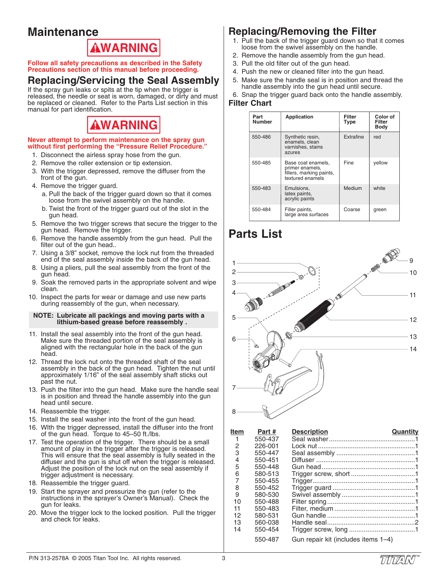## **Maintenance**



**Follow all safety precautions as described in the Safety Precautions section of this manual before proceeding.**

### **Replacing/Servicing the Seal Assembly**

If the spray gun leaks or spits at the tip when the trigger is released, the needle or seat is worn, damaged, or dirty and must be replaced or cleaned. Refer to the Parts List section in this manual for part identification.

# **WARNING**

#### **Never attempt to perform maintenance on the spray gun without first performing the "Pressure Relief Procedure."**

- 1. Disconnect the airless spray hose from the gun.
- 2. Remove the roller extension or tip extension.
- 3. With the trigger depressed, remove the diffuser from the front of the gun.
- 4. Remove the trigger guard.
	- a. Pull the back of the trigger guard down so that it comes loose from the swivel assembly on the handle.
	- b. Twist the front of the trigger guard out of the slot in the gun head.
- 5. Remove the two trigger screws that secure the trigger to the gun head. Remove the trigger.
- 6. Remove the handle assembly from the gun head. Pull the filter out of the gun head..
- 7. Using a 3/8" socket, remove the lock nut from the threaded end of the seal assembly inside the back of the gun head.
- 8. Using a pliers, pull the seal assembly from the front of the gun head.
- 9. Soak the removed parts in the appropriate solvent and wipe clean.
- 10. Inspect the parts for wear or damage and use new parts during reassembly of the gun, when necessary.

#### **NOTE: Lubricate all packings and moving parts with a lithium-based grease before reassembly .**

- 11. Install the seal assembly into the front of the gun head. Make sure the threaded portion of the seal assembly is aligned with the rectangular hole in the back of the gun head.
- 12. Thread the lock nut onto the threaded shaft of the seal assembly in the back of the gun head. Tighten the nut until approximately 1/16" of the seal assembly shaft sticks out past the nut.
- 13. Push the filter into the gun head. Make sure the handle seal is in position and thread the handle assembly into the gun head until secure.
- 14. Reassemble the trigger.
- 15. Install the seal washer into the front of the gun head.
- 16. WIth the trigger depressed, install the diffuser into the front of the gun head. Torque to 45–50 ft./lbs.
- 17. Test the operation of the trigger. There should be a small amount of play in the trigger after the trigger is released. This will ensure that the seal assembly is fully seated in the diffuser and the gun is shut off when the trigger is released. Adjust the position of the lock nut on the seal assembly if trigger adjustment is necessary.
- 18. Reassemble the trigger guard.
- 19. Start the sprayer and pressurize the gun (refer to the instructions in the sprayer's Owner's Manual). Check the gun for leaks.
- 20. Move the trigger lock to the locked position. Pull the trigger and check for leaks.

### **Replacing/Removing the Filter**

- 1. Pull the back of the trigger guard down so that it comes loose from the swivel assembly on the handle.
- 2. Remove the handle assembly from the gun head.
- 3. Pull the old filter out of the gun head.
- 4. Push the new or cleaned filter into the gun head.
- 5. Make sure the handle seal is in position and thread the handle assembly into the gun head until secure.

6. Snap the trigger guard back onto the handle assembly. **Filter Chart**

| Part<br><b>Number</b> | <b>Application</b>                                                                    | Filter<br><b>Type</b> | Color of<br>Filter<br><b>Body</b> |
|-----------------------|---------------------------------------------------------------------------------------|-----------------------|-----------------------------------|
| 550-486               | Synthetic resin,<br>enamels, clean<br>varnishes, stains<br>azures                     | Extrafine             | red                               |
| 550-485               | Base coat enamels,<br>primer enamels,<br>fillers, marking paints,<br>textured enamels | Fine                  | yellow                            |
| 550-483               | Emulsions.<br>latex paints,<br>acrylic paints                                         | Medium                | white                             |
| 550-484               | Filler paints,<br>large area surfaces                                                 | Coarse                | green                             |

# **Parts List**



| Item | Part#   | <b>Description</b>                  | Quantity |
|------|---------|-------------------------------------|----------|
| 1    | 550-437 |                                     |          |
| 2    | 226-001 |                                     |          |
| 3    | 550-447 |                                     |          |
| 4    | 550-451 |                                     |          |
| 5    | 550-448 |                                     |          |
| 6    | 580-513 |                                     |          |
| 7    | 550-455 |                                     |          |
| 8    | 550-452 |                                     |          |
| 9    | 580-530 |                                     |          |
| 10   | 550-488 |                                     |          |
| 11   | 550-483 |                                     |          |
| 12   | 580-531 |                                     |          |
| 13   | 560-038 |                                     |          |
| 14   | 550-454 |                                     |          |
|      | 550-487 | Gun repair kit (includes items 1-4) |          |